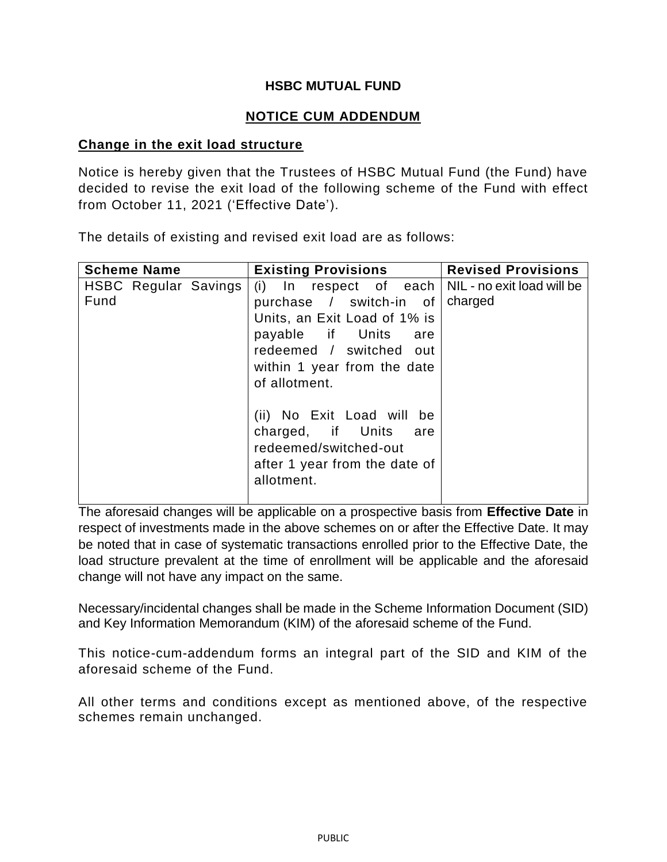## **HSBC MUTUAL FUND**

## **NOTICE CUM ADDENDUM**

## **Change in the exit load structure**

Notice is hereby given that the Trustees of HSBC Mutual Fund (the Fund) have decided to revise the exit load of the following scheme of the Fund with effect from October 11, 2021 ('Effective Date').

The details of existing and revised exit load are as follows:

| <b>Scheme Name</b>           | <b>Existing Provisions</b>                                                                                                                                                                                                                                                                                            | <b>Revised Provisions</b>             |
|------------------------------|-----------------------------------------------------------------------------------------------------------------------------------------------------------------------------------------------------------------------------------------------------------------------------------------------------------------------|---------------------------------------|
| HSBC Regular Savings<br>Fund | (i) In respect of each<br>purchase / switch-in of<br>Units, an Exit Load of 1% is<br>payable if Units<br>are<br>redeemed / switched out<br>within 1 year from the date<br>of allotment.<br>(ii) No Exit Load will be<br>charged, if Units are<br>redeemed/switched-out<br>after 1 year from the date of<br>allotment. | NIL - no exit load will be<br>charged |
|                              |                                                                                                                                                                                                                                                                                                                       |                                       |

The aforesaid changes will be applicable on a prospective basis from **Effective Date** in respect of investments made in the above schemes on or after the Effective Date. It may be noted that in case of systematic transactions enrolled prior to the Effective Date, the load structure prevalent at the time of enrollment will be applicable and the aforesaid change will not have any impact on the same.

Necessary/incidental changes shall be made in the Scheme Information Document (SID) and Key Information Memorandum (KIM) of the aforesaid scheme of the Fund.

This notice-cum-addendum forms an integral part of the SID and KIM of the aforesaid scheme of the Fund.

All other terms and conditions except as mentioned above, of the respective schemes remain unchanged.